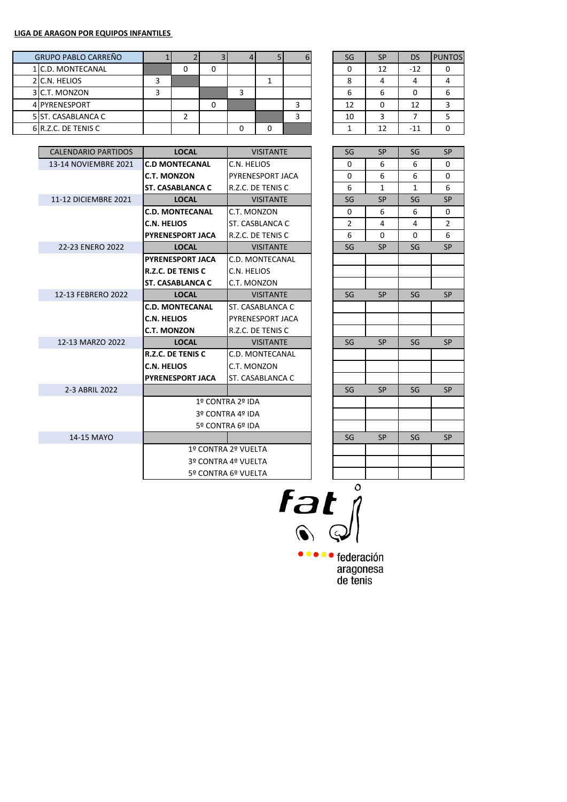| <b>GRUPO PABLO CARREÑO</b> |   |  |  |  | SG | <b>SP</b> | DS    | <b>PUNTOS</b> |
|----------------------------|---|--|--|--|----|-----------|-------|---------------|
| 1 C.D. MONTECANAL          |   |  |  |  |    | 12        | $-12$ |               |
| 2 C.N. HELIOS              |   |  |  |  |    |           |       |               |
| 3 C.T. MONZON              | ∍ |  |  |  | ь  | b         |       |               |
| 4 PYRENESPORT              |   |  |  |  | 12 | 0         | 12    |               |
| 5 ST. CASABLANCA C         |   |  |  |  | 10 |           |       |               |
| 6 R.Z.C. DE TENIS C        |   |  |  |  |    | 12        | $-11$ |               |

| SG | <b>SP</b> | <b>DS</b> | <b>PUNTOS</b> |
|----|-----------|-----------|---------------|
| 0  | 12        | $-12$     |               |
| 8  |           |           |               |
| 6  | 6         | 0         | 6             |
| 12 | Ω         | 12        | ₹             |
| 10 | ς         |           | 5             |
|    | 12        | -11       |               |

| <b>CALENDARIO PARTIDOS</b> | <b>LOCAL</b>             | <b>VISITANTE</b>       |  | SG             | <b>SP</b>    | SG           | <b>SP</b> |
|----------------------------|--------------------------|------------------------|--|----------------|--------------|--------------|-----------|
| 13-14 NOVIEMBRE 2021       | <b>C.D MONTECANAL</b>    | C.N. HELIOS            |  | 0              | 6            | 6            | 0         |
|                            | <b>C.T. MONZON</b>       | PYRENESPORT JACA       |  | $\Omega$       | 6            | 6            | 0         |
|                            | <b>ST. CASABLANCA C</b>  | R.Z.C. DE TENIS C      |  | 6              | $\mathbf{1}$ | $\mathbf{1}$ | 6         |
| 11-12 DICIEMBRE 2021       | <b>LOCAL</b>             | <b>VISITANTE</b>       |  | SG             | <b>SP</b>    | SG           | <b>SP</b> |
|                            | <b>C.D. MONTECANAL</b>   | C.T. MONZON            |  | 0              | 6            | 6            | 0         |
|                            | <b>C.N. HELIOS</b>       | <b>ST. CASBLANCA C</b> |  | $\overline{2}$ | 4            | 4            | 2         |
|                            | <b>PYRENESPORT JACA</b>  | R.Z.C. DE TENIS C      |  | 6              | $\Omega$     | $\Omega$     | 6         |
| 22-23 ENERO 2022           | <b>LOCAL</b>             | <b>VISITANTE</b>       |  | SG             | <b>SP</b>    | SG           | <b>SP</b> |
|                            | <b>PYRENESPORT JACA</b>  | C.D. MONTECANAL        |  |                |              |              |           |
|                            | <b>R.Z.C. DE TENIS C</b> | C.N. HELIOS            |  |                |              |              |           |
|                            | <b>ST. CASABLANCA C</b>  | C.T. MONZON            |  |                |              |              |           |
| 12-13 FEBRERO 2022         | <b>LOCAL</b>             | <b>VISITANTE</b>       |  | SG             | <b>SP</b>    | SG           | <b>SP</b> |
|                            | <b>C.D. MONTECANAL</b>   | ST. CASABLANCA C       |  |                |              |              |           |
|                            | <b>C.N. HELIOS</b>       | PYRENESPORT JACA       |  |                |              |              |           |
|                            | <b>C.T. MONZON</b>       | R.Z.C. DE TENIS C      |  |                |              |              |           |
| 12-13 MARZO 2022           | <b>LOCAL</b>             | <b>VISITANTE</b>       |  | SG             | <b>SP</b>    | SG           | <b>SP</b> |
|                            | R.Z.C. DE TENIS C        | C.D. MONTECANAL        |  |                |              |              |           |
|                            | <b>C.N. HELIOS</b>       | C.T. MONZON            |  |                |              |              |           |
|                            | <b>PYRENESPORT JACA</b>  | ST. CASABLANCA C       |  |                |              |              |           |
| 2-3 ABRIL 2022             |                          |                        |  | SG             | <b>SP</b>    | SG           | <b>SP</b> |
|                            |                          | 1º CONTRA 2º IDA       |  |                |              |              |           |
|                            |                          | 3º CONTRA 4º IDA       |  |                |              |              |           |
|                            |                          | 5º CONTRA 6º IDA       |  |                |              |              |           |
| 14-15 MAYO                 |                          |                        |  | SG             | <b>SP</b>    | SG           | <b>SP</b> |
|                            |                          | 1º CONTRA 2º VUELTA    |  |                |              |              |           |
|                            |                          | 3º CONTRA 4º VUELTA    |  |                |              |              |           |
|                            |                          | 5º CONTRA 6º VUELTA    |  |                |              |              |           |
|                            |                          |                        |  |                |              |              |           |

| SG                      | SP             | SG                       | SP                      |
|-------------------------|----------------|--------------------------|-------------------------|
| 0                       | 6              | 6                        | 0                       |
| 0                       | 6              | 6                        | 0                       |
| 6                       | $\overline{1}$ | $\overline{1}$           | 6                       |
| SG                      | SP             | SG                       | SP                      |
| 0                       | 6              | 6                        | 0                       |
| $\overline{\mathbf{c}}$ | 4              | 4                        | $\overline{\mathbf{c}}$ |
| 6                       | 0              | 0                        | 6                       |
| SG                      | SP             | SG                       | SP                      |
|                         |                |                          |                         |
|                         |                |                          |                         |
|                         |                |                          |                         |
| SG                      | SP             | $\overline{\mathsf{SG}}$ | SP                      |
|                         |                |                          |                         |
|                         |                |                          |                         |
|                         |                |                          |                         |
| SG                      | SP             | SG                       | SP                      |
|                         |                |                          |                         |
|                         |                |                          |                         |
|                         |                |                          |                         |
| SG                      | SP             | SG                       | SP                      |
|                         |                |                          |                         |
|                         |                |                          |                         |
|                         |                |                          |                         |
| SG                      | SP             | SG                       | <b>SP</b>               |
|                         |                |                          |                         |
|                         |                |                          |                         |
|                         |                |                          |                         |

 $rac{1}{\log n}$ 

●●●●● federación aragonesa<br>de tenis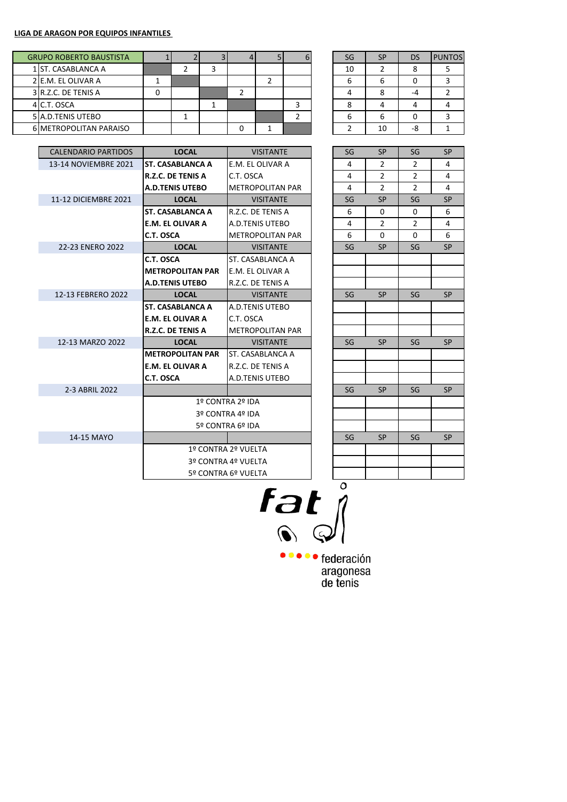|  | <b>GRUPO ROBERTO BAUSTISTA</b> |   |  |  |  | SG | <b>SP</b> | DS | <b>PUNTOS</b> |
|--|--------------------------------|---|--|--|--|----|-----------|----|---------------|
|  | 1 ST. CASABLANCA A             |   |  |  |  | 10 |           |    |               |
|  | 2 E.M. EL OLIVAR A             |   |  |  |  |    | ь         |    |               |
|  | 3 R.Z.C. DE TENIS A            | υ |  |  |  |    |           |    |               |
|  | 4 C.T. OSCA                    |   |  |  |  |    |           |    |               |
|  | 5 A.D. TENIS UTEBO             |   |  |  |  | n  | ь         |    |               |
|  | <b>6 METROPOLITAN PARAISO</b>  |   |  |  |  |    | 10        | -8 |               |

| SG | <b>SP</b>      | <b>DS</b> | <b>PUNTOS</b> |
|----|----------------|-----------|---------------|
| 10 | $\overline{2}$ | 8         | 5             |
| 6  | 6              |           |               |
|    | 8              |           | $\mathfrak z$ |
| 8  |                |           |               |
| 6  | 6              | O         |               |
|    | 10             |           |               |

| <b>CALENDARIO PARTIDOS</b> | <b>LOCAL</b>             | <b>VISITANTE</b>        | SG | <b>SP</b>      | SG             | <b>SP</b> |
|----------------------------|--------------------------|-------------------------|----|----------------|----------------|-----------|
| 13-14 NOVIEMBRE 2021       | <b>ST. CASABLANCA A</b>  | E.M. EL OLIVAR A        | 4  | $\overline{2}$ | $\overline{2}$ | 4         |
|                            | <b>R.Z.C. DE TENIS A</b> | C.T. OSCA               | 4  | $\overline{2}$ | 2              | 4         |
|                            | <b>A.D.TENIS UTEBO</b>   | <b>METROPOLITAN PAR</b> | 4  | $\overline{2}$ | 2              | 4         |
| 11-12 DICIEMBRE 2021       | <b>LOCAL</b>             | <b>VISITANTE</b>        | SG | <b>SP</b>      | SG             | <b>SP</b> |
|                            | <b>ST. CASABLANCA A</b>  | R.Z.C. DE TENIS A       | 6  | 0              | 0              | 6         |
|                            | <b>E.M. EL OLIVAR A</b>  | A.D.TENIS UTEBO         | 4  | $\overline{2}$ | $\overline{2}$ | 4         |
|                            | C.T. OSCA                | <b>METROPOLITAN PAR</b> | 6  | $\Omega$       | $\Omega$       | 6         |
| 22-23 ENERO 2022           | <b>LOCAL</b>             | <b>VISITANTE</b>        | SG | <b>SP</b>      | SG             | <b>SP</b> |
|                            | C.T. OSCA                | ST. CASABLANCA A        |    |                |                |           |
|                            | <b>METROPOLITAN PAR</b>  | E.M. EL OLIVAR A        |    |                |                |           |
|                            | <b>A.D.TENIS UTEBO</b>   | R.Z.C. DE TENIS A       |    |                |                |           |
| 12-13 FEBRERO 2022         | <b>LOCAL</b>             | <b>VISITANTE</b>        | SG | <b>SP</b>      | SG             | <b>SP</b> |
|                            | <b>ST. CASABLANCA A</b>  | A.D.TENIS UTEBO         |    |                |                |           |
|                            | <b>E.M. EL OLIVAR A</b>  | C.T. OSCA               |    |                |                |           |
|                            | <b>R.Z.C. DE TENIS A</b> | <b>METROPOLITAN PAR</b> |    |                |                |           |
| 12-13 MARZO 2022           | <b>LOCAL</b>             | <b>VISITANTE</b>        | SG | <b>SP</b>      | SG             | <b>SP</b> |
|                            | <b>METROPOLITAN PAR</b>  | ST. CASABLANCA A        |    |                |                |           |
|                            | <b>E.M. EL OLIVAR A</b>  | R.Z.C. DE TENIS A       |    |                |                |           |
|                            | C.T. OSCA                | A.D.TENIS UTEBO         |    |                |                |           |
| 2-3 ABRIL 2022             |                          |                         | SG | <b>SP</b>      | SG             | <b>SP</b> |
|                            |                          | 1º CONTRA 2º IDA        |    |                |                |           |
|                            |                          | 3º CONTRA 4º IDA        |    |                |                |           |
|                            |                          | 5º CONTRA 6º IDA        |    |                |                |           |
| 14-15 MAYO                 |                          |                         | SG | <b>SP</b>      | SG             | <b>SP</b> |
|                            |                          | 1º CONTRA 2º VUELTA     |    |                |                |           |
|                            |                          | 3º CONTRA 4º VUELTA     |    |                |                |           |
|                            |                          | 5º CONTRA 6º VUELTA     |    |                |                |           |
|                            |                          |                         | Λ  |                |                |           |

 $rac{a}{\sqrt{2}}$ 

**OCOO** federación aragonesa<br>de tenis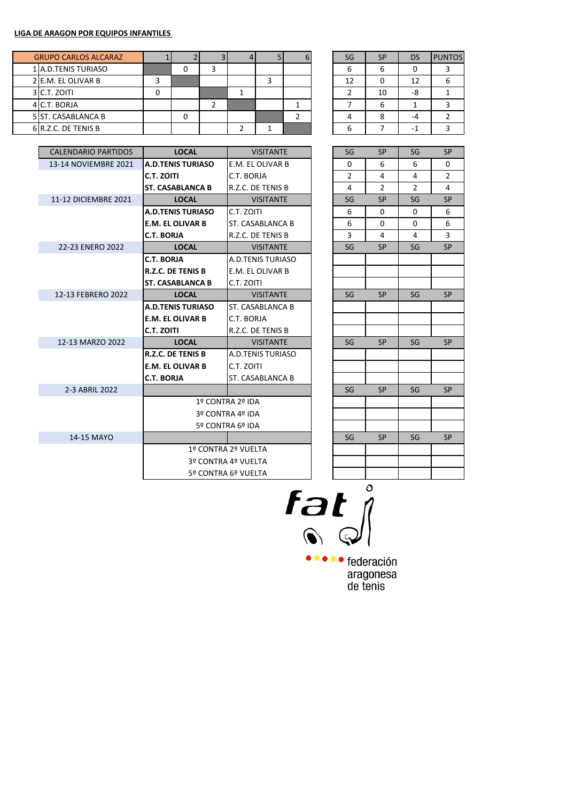| <b>GRUPO CARLOS ALCARAZ</b> |   |  |  |  | SG | <b>SP</b> | DS            | <b>PUNTOS</b> |
|-----------------------------|---|--|--|--|----|-----------|---------------|---------------|
| 1 A.D. TENIS TURIASO        |   |  |  |  | ь  | ь         |               |               |
| 2 E.M. EL OLIVAR B          |   |  |  |  | 12 | 0         | 12            |               |
| 3 C.T. ZOITI                | 0 |  |  |  |    | 10        | -8            |               |
| 4 C.T. BORJA                |   |  |  |  |    | ь         |               |               |
| 5 ST. CASABLANCA B          |   |  |  |  |    | 8         | $\mathcal{L}$ |               |
| 6 R.Z.C. DE TENIS B         |   |  |  |  | n  |           | -             |               |

| SG | <b>SP</b> | DS | <b>PUNTOS</b> |
|----|-----------|----|---------------|
| 6  | 6         | 0  | 3             |
| 12 | П         | 12 |               |
| 2  | 10        | -8 |               |
|    | 6         |    | ₹             |
|    | 8         |    |               |
|    |           |    |               |

| <b>CALENDARIO PARTIDOS</b> | <b>LOCAL</b>             | <b>VISITANTE</b>    | SG             | <b>SP</b>      | SG             | <b>SP</b>      |
|----------------------------|--------------------------|---------------------|----------------|----------------|----------------|----------------|
| 13-14 NOVIEMBRE 2021       | <b>A.D.TENIS TURIASO</b> | E.M. EL OLIVAR B    | 0              | 6              | 6              | $\Omega$       |
|                            | C.T. ZOITI               | C.T. BORJA          | $\overline{2}$ | 4              | 4              | $\overline{2}$ |
|                            | <b>ST. CASABLANCA B</b>  | R.Z.C. DE TENIS B   | $\overline{4}$ | $\overline{2}$ | $\overline{2}$ | 4              |
| 11-12 DICIEMBRE 2021       | <b>LOCAL</b>             | <b>VISITANTE</b>    | SG             | <b>SP</b>      | SG             | <b>SP</b>      |
|                            | <b>A.D.TENIS TURIASO</b> | C.T. ZOITI          | 6              | $\Omega$       | $\Omega$       | 6              |
|                            | <b>E.M. EL OLIVAR B</b>  | ST. CASABLANCA B    | 6              | $\Omega$       | 0              | 6              |
|                            | <b>C.T. BORJA</b>        | R.Z.C. DE TENIS B   | 3              | 4              | 4              | 3              |
| 22-23 ENERO 2022           | <b>LOCAL</b>             | <b>VISITANTE</b>    | SG             | <b>SP</b>      | SG             | <b>SP</b>      |
|                            | <b>C.T. BORJA</b>        | A.D.TENIS TURIASO   |                |                |                |                |
|                            | <b>R.Z.C. DE TENIS B</b> | E.M. EL OLIVAR B    |                |                |                |                |
|                            | <b>ST. CASABLANCA B</b>  | C.T. ZOITI          |                |                |                |                |
| 12-13 FEBRERO 2022         | <b>LOCAL</b>             | <b>VISITANTE</b>    | SG             | <b>SP</b>      | SG             | <b>SP</b>      |
|                            | <b>A.D.TENIS TURIASO</b> | ST. CASABLANCA B    |                |                |                |                |
|                            | <b>E.M. EL OLIVAR B</b>  | C.T. BORJA          |                |                |                |                |
|                            | <b>C.T. ZOITI</b>        | R.Z.C. DE TENIS B   |                |                |                |                |
| 12-13 MARZO 2022           | <b>LOCAL</b>             | <b>VISITANTE</b>    | SG             | <b>SP</b>      | SG             | <b>SP</b>      |
|                            | <b>R.Z.C. DE TENIS B</b> | A.D.TENIS TURIASO   |                |                |                |                |
|                            | <b>E.M. EL OLIVAR B</b>  | C.T. ZOITI          |                |                |                |                |
|                            | <b>C.T. BORJA</b>        | ST. CASABLANCA B    |                |                |                |                |
| 2-3 ABRIL 2022             |                          |                     | SG             | <b>SP</b>      | SG             | <b>SP</b>      |
|                            |                          | 1º CONTRA 2º IDA    |                |                |                |                |
|                            |                          | 3º CONTRA 4º IDA    |                |                |                |                |
|                            |                          | 5º CONTRA 6º IDA    |                |                |                |                |
| 14-15 MAYO                 |                          |                     | SG             | <b>SP</b>      | SG             | <b>SP</b>      |
|                            |                          | 1º CONTRA 2º VUELTA |                |                |                |                |
|                            |                          | 3º CONTRA 4º VUELTA |                |                |                |                |
|                            |                          | 5º CONTRA 6º VUELTA |                |                |                |                |
|                            |                          |                     |                |                |                |                |

| SG                       | SP             | SG             | SP                      |
|--------------------------|----------------|----------------|-------------------------|
| 0                        | 6              | 6              | 0                       |
| $\overline{\mathbf{c}}$  | 4              | 4              | $\overline{\mathbf{c}}$ |
| 4                        | $\overline{c}$ | $\overline{2}$ | 4                       |
| SG                       | SP             | SG             | SP                      |
| 6                        | 0              | 0              | 6                       |
| 6                        | 0              | 0              | 6                       |
| $\overline{3}$           | 4              | 4              | $\overline{3}$          |
| SG                       | SP             | SG             | SP                      |
|                          |                |                |                         |
|                          |                |                |                         |
|                          |                |                |                         |
| SG                       | SP             | SG             | SP                      |
|                          |                |                |                         |
|                          |                |                |                         |
|                          |                |                |                         |
| SG                       | SP             | SG             | SP                      |
|                          |                |                |                         |
|                          |                |                |                         |
|                          |                |                |                         |
| SG                       | SP             | SG             | SP                      |
|                          |                |                |                         |
|                          |                |                |                         |
|                          |                |                |                         |
| $\overline{\mathsf{SG}}$ | SP             | SG             | SP                      |
|                          |                |                |                         |
|                          |                |                |                         |
|                          |                |                |                         |

 $\overline{f}$ at $\int_0^{\frac{1}{2}}$ 

••••• federación aragonesa<br>de tenis